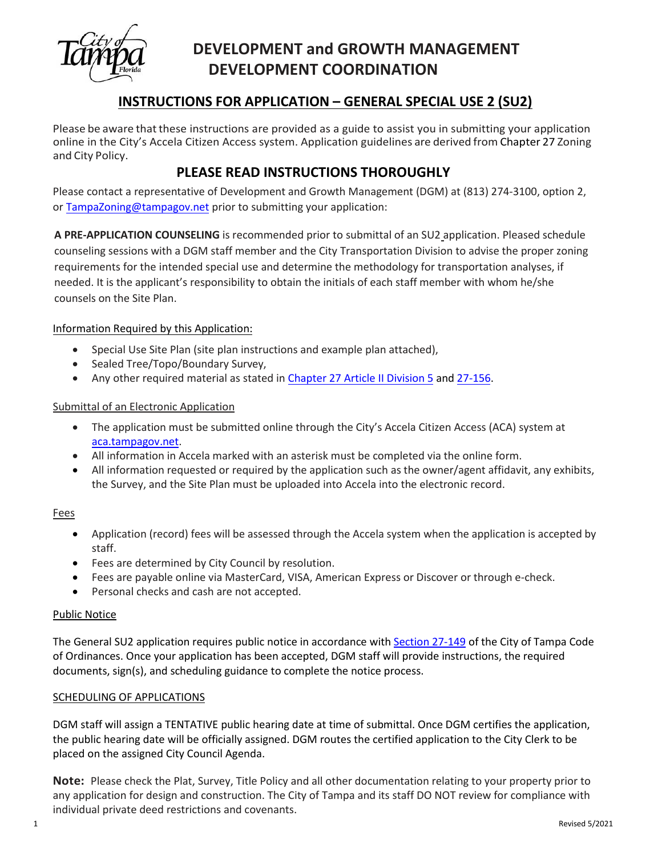

# **DEVELOPMENT and GROWTH MANAGEMENT DEVELOPMENT COORDINATION**

### **INSTRUCTIONS FOR APPLICATION – GENERAL SPECIAL USE 2 (SU2)**

Please be aware that these instructions are provided as a guide to assist you in submitting your application online in the City's Accela Citizen Access system. Application guidelines are derived from Chapter 27 Zoning and City Policy.

### **PLEASE READ INSTRUCTIONS THOROUGHLY**

Please contact a representative of Development and Growth Management (DGM) at (813) 274-3100, option 2, or [TampaZoning@tampagov.net](mailto:TampaZoning@tampagov.net) prior to submitting your application:

**A PRE-APPLICATION COUNSELING** is recommended prior to submittal of an SU2 application. Pleased schedule counseling sessions with a DGM staff member and the City Transportation Division to advise the proper zoning requirements for the intended special use and determine the methodology for transportation analyses, if needed. It is the applicant's responsibility to obtain the initials of each staff member with whom he/she counsels on the Site Plan.

### Information Required by this Application:

- Special Use Site Plan (site plan instructions and example plan attached),
- Sealed Tree/Topo/Boundary Survey,
- Any other required material as stated in [Chapter 27](https://library.municode.com/fl/tampa/codes/code_of_ordinances?nodeId=COOR_CH27ZOLADE_ARTIIADGEPR_DIV5SPUSPEPR_S27-132REGOINSPUS) Article II Division 5 and [27-156.](https://library.municode.com/fl/tampa/codes/code_of_ordinances?nodeId=COOR_CH27ZOLADE_ARTIIIESZODIDIRE_DIV1GEZODI_S27-156OFSCDIRE)

#### Submittal of an Electronic Application

- The application must be submitted online through the City's Accela Citizen Access (ACA) system at [aca.tampagov.net.](https://aca.tampagov.net/citizenaccess/default.aspx)
- All information in Accela marked with an asterisk must be completed via the online form.
- All information requested or required by the application such as the owner/agent affidavit, any exhibits, the Survey, and the Site Plan must be uploaded into Accela into the electronic record.

#### Fees

- Application (record) fees will be assessed through the Accela system when the application is accepted by staff.
- Fees are determined by City Council by resolution.
- Fees are payable online via MasterCard, VISA, American Express or Discover or through e-check.
- Personal checks and cash are not accepted.

#### Public Notice

The General SU2 application requires public notice in accordance with [Section 27-149](https://library.municode.com/fl/tampa/codes/code_of_ordinances?nodeId=COOR_CH27ZOLADE_ARTIIADGEPR_DIV7AM_S27-149PUNORELADEDETEAMLADECO) of the City of Tampa Code of Ordinances. Once your application has been accepted, DGM staff will provide instructions, the required documents, sign(s), and scheduling guidance to complete the notice process.

#### SCHEDULING OF APPLICATIONS

DGM staff will assign a TENTATIVE public hearing date at time of submittal. Once DGM certifies the application, the public hearing date will be officially assigned. DGM routes the certified application to the City Clerk to be placed on the assigned City Council Agenda.

**Note:** Please check the Plat, Survey, Title Policy and all other documentation relating to your property prior to any application for design and construction. The City of Tampa and its staff DO NOT review for compliance with individual private deed restrictions and covenants.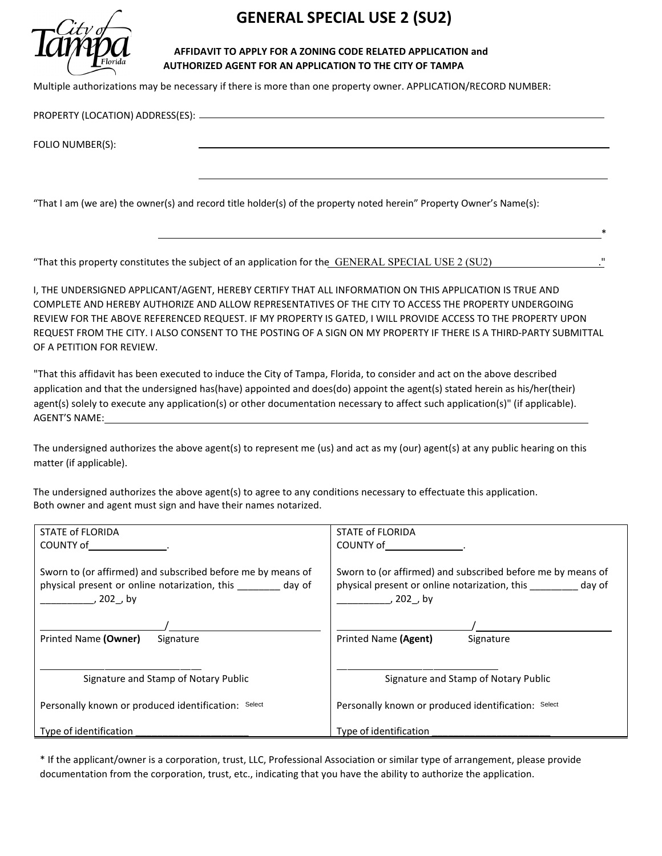

# **GENERAL SPECIAL USE 2 (SU2)**

#### **AFFIDAVIT TO APPLY FOR A ZONING CODE RELATED APPLICATION and AUTHORIZED AGENT FOR AN APPLICATION TO THE CITY OF TAMPA**

Multiple authorizations may be necessary if there is more than one property owner. APPLICATION/RECORD NUMBER:

PROPERTY (LOCATION) ADDRESS(ES):

FOLIO NUMBER(S):

"That I am (we are) the owner(s) and record title holder(s) of the property noted herein" Property Owner's Name(s):

"That this property constitutes the subject of an application for the GENERAL SPECIAL USE 2 (SU2)

I, THE UNDERSIGNED APPLICANT/AGENT, HEREBY CERTIFY THAT ALL INFORMATION ON THIS APPLICATION IS TRUE AND COMPLETE AND HEREBY AUTHORIZE AND ALLOW REPRESENTATIVES OF THE CITY TO ACCESS THE PROPERTY UNDERGOING REVIEW FOR THE ABOVE REFERENCED REQUEST. IF MY PROPERTY IS GATED, I WILL PROVIDE ACCESS TO THE PROPERTY UPON REQUEST FROM THE CITY. I ALSO CONSENT TO THE POSTING OF A SIGN ON MY PROPERTY IF THERE IS A THIRD-PARTY SUBMITTAL OF A PETITION FOR REVIEW.

 $*$ 

"That this affidavit has been executed to induce the City of Tampa, Florida, to consider and act on the above described application and that the undersigned has(have) appointed and does(do) appoint the agent(s) stated herein as his/her(their) agent(s) solely to execute any application(s) or other documentation necessary to affect such application(s)" (if applicable). AGENT'S NAME:

The undersigned authorizes the above agent(s) to represent me (us) and act as my (our) agent(s) at any public hearing on this matter (if applicable).

The undersigned authorizes the above agent(s) to agree to any conditions necessary to effectuate this application. Both owner and agent must sign and have their names notarized.

| STATE of FLORIDA                                                                                                                | STATE of FLORIDA                                                                                                                 |  |  |
|---------------------------------------------------------------------------------------------------------------------------------|----------------------------------------------------------------------------------------------------------------------------------|--|--|
| COUNTY of the country of                                                                                                        | COUNTY of the country of                                                                                                         |  |  |
| Sworn to (or affirmed) and subscribed before me by means of<br>physical present or online notarization, this day of<br>, 202,by | Sworn to (or affirmed) and subscribed before me by means of<br>physical present or online notarization, this day of<br>, 202, by |  |  |
|                                                                                                                                 |                                                                                                                                  |  |  |
| Printed Name (Owner)<br>Signature                                                                                               | Printed Name (Agent)<br>Signature                                                                                                |  |  |
| Signature and Stamp of Notary Public<br>Personally known or produced identification: Select                                     | Signature and Stamp of Notary Public<br>Personally known or produced identification: Select                                      |  |  |
| Type of identification                                                                                                          | Type of identification                                                                                                           |  |  |

\* If the applicant/owner is a corporation, trust, LLC, Professional Association or similar type of arrangement, please provide documentation from the corporation, trust, etc., indicating that you have the ability to authorize the application.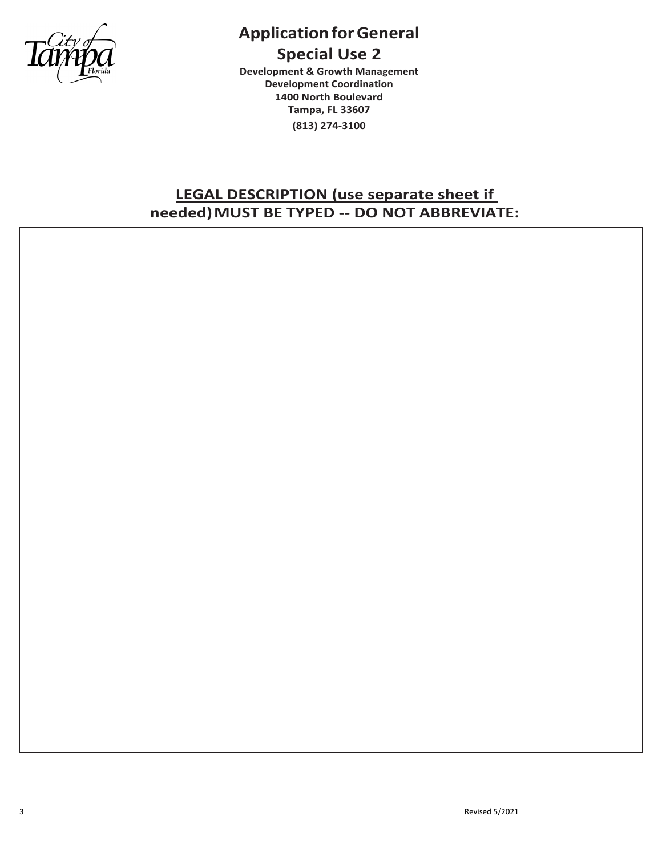

# **Application for General Special Use 2**

**Development & Growth Management Development Coordination 1400 North Boulevard Tampa, FL 33607 (813) 274-3100**

## **LEGAL DESCRIPTION (use separate sheet if needed)MUST BE TYPED -- DO NOT ABBREVIATE:**

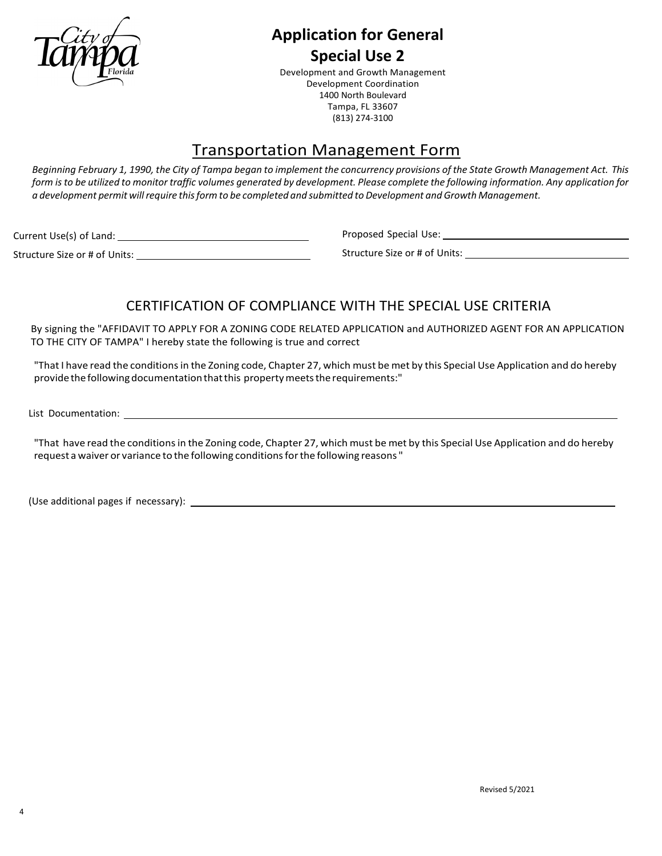

## **Application for General Special Use 2**

Development and Growth Management Development Coordination 1400 North Boulevard Tampa, FL 33607 (813) 274-3100

# Transportation Management Form

Beginning February 1, 1990, the City of Tampa began to implement the concurrency provisions of the State Growth Management Act. This form is to be utilized to monitor traffic volumes generated by development. Please complete the following information. Any application for *a development permit willrequire thisform to be completed and submitted to Development and Growth Management.*

Current Use(s) of Land:

Structure Size or # of Units:

Proposed Special Use: Management Controller and Controller and Controller and Controller and Controller and Co

Structure Size or # of Units:

## CERTIFICATION OF COMPLIANCE WITH THE SPECIAL USE CRITERIA

By signing the "AFFIDAVIT TO APPLY FOR A ZONING CODE RELATED APPLICATION and AUTHORIZED AGENT FOR AN APPLICATION TO THE CITY OF TAMPA" I hereby state the following is true and correct

"That I have read the conditionsin the Zoning code, Chapter 27, which must be met by this Special Use Application and do hereby providethefollowingdocumentationthatthis propertymeetstherequirements:"

List Documentation:

"That have read the conditions in the Zoning code, Chapter 27, which must be met by this Special Use Application and do hereby request a waiver or variance to the following conditionsforthe following reasons "

(Use additional pages if necessary):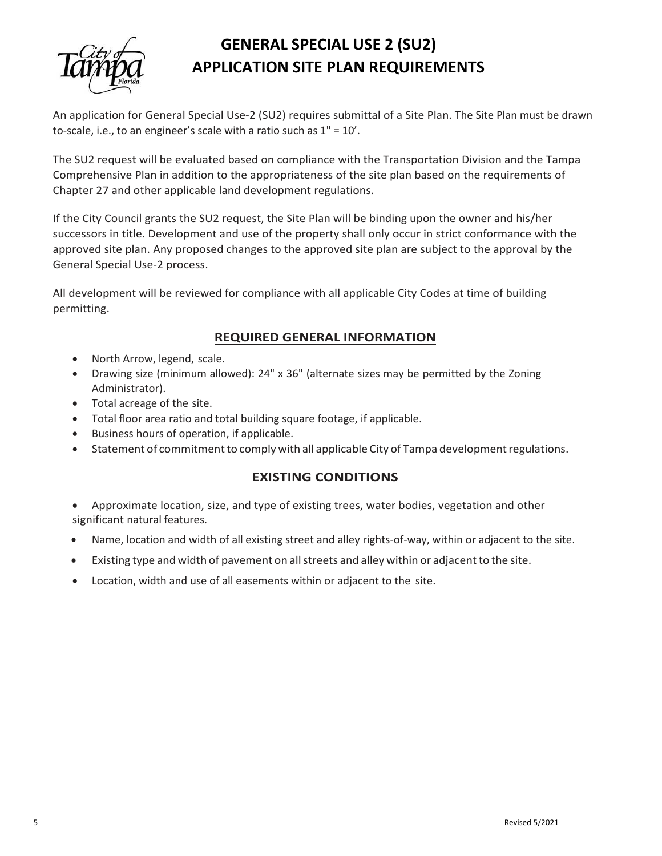

# **GENERAL SPECIAL USE 2 (SU2) APPLICATION SITE PLAN REQUIREMENTS**

An application for General Special Use-2 (SU2) requires submittal of a Site Plan. The Site Plan must be drawn to-scale, i.e., to an engineer's scale with a ratio such as 1" = 10'.

The SU2 request will be evaluated based on compliance with the Transportation Division and the Tampa Comprehensive Plan in addition to the appropriateness of the site plan based on the requirements of Chapter 27 and other applicable land development regulations.

If the City Council grants the SU2 request, the Site Plan will be binding upon the owner and his/her successors in title. Development and use of the property shall only occur in strict conformance with the approved site plan. Any proposed changes to the approved site plan are subject to the approval by the General Special Use-2 process.

All development will be reviewed for compliance with all applicable City Codes at time of building permitting.

### **REQUIRED GENERAL INFORMATION**

- North Arrow, legend, scale.
- Drawing size (minimum allowed): 24" x 36" (alternate sizes may be permitted by the Zoning Administrator).
- Total acreage of the site.
- Total floor area ratio and total building square footage, if applicable.
- Business hours of operation, if applicable.
- Statement of commitment to comply with all applicable City of Tampa development regulations.

### **EXISTING CONDITIONS**

- Approximate location, size, and type of existing trees, water bodies, vegetation and other significant natural features.
- Name, location and width of all existing street and alley rights-of-way, within or adjacent to the site.
- Existing type and width of pavement on all streets and alley within or adjacent to the site.
- Location, width and use of all easements within or adjacent to the site.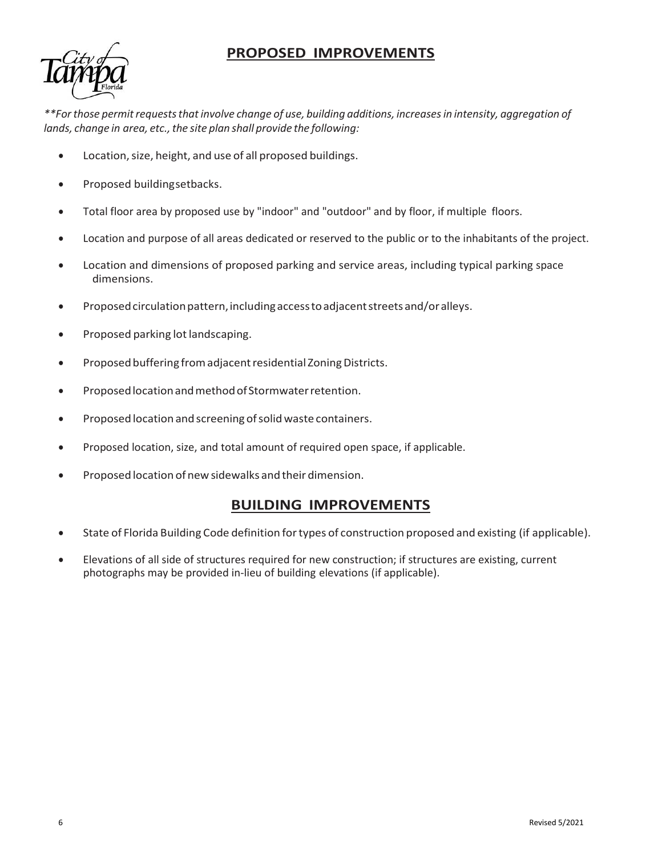## **PROPOSED IMPROVEMENTS**



*\*\*Forthose permitrequeststhatinvolve change of use, building additions, increasesin intensity, aggregation of lands, change in area, etc., the site plan shall provide the following:* 

- Location, size, height, and use of all proposed buildings.
- Proposed buildingsetbacks.
- Total floor area by proposed use by "indoor" and "outdoor" and by floor, if multiple floors.
- Location and purpose of all areas dedicated or reserved to the public or to the inhabitants of the project.
- Location and dimensions of proposed parking and service areas, including typical parking space dimensions.
- Proposed circulation pattern,includingaccesstoadjacentstreets and/or alleys.
- Proposed parking lot landscaping.
- Proposed buffering from adjacent residential Zoning Districts.
- Proposed location and method of Stormwater retention.
- Proposed location and screening of solid waste containers.
- Proposed location, size, and total amount of required open space, if applicable.
- Proposed location of new sidewalks and their dimension.

### **BUILDING IMPROVEMENTS**

- State of Florida Building Code definition fortypes of construction proposed and existing (if applicable).
- Elevations of all side of structures required for new construction; if structures are existing, current photographs may be provided in-lieu of building elevations (if applicable).